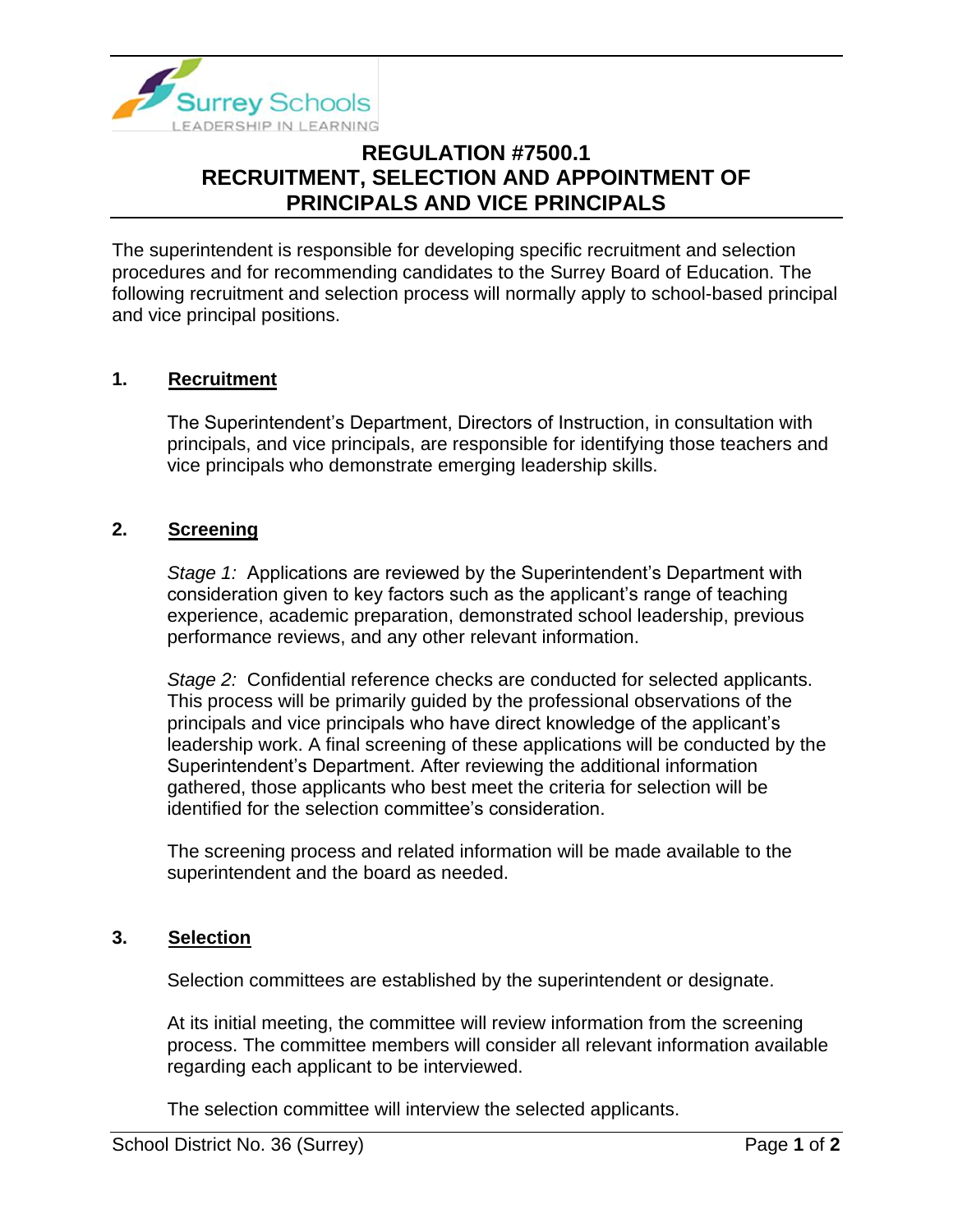

# **REGULATION #7500.1 RECRUITMENT, SELECTION AND APPOINTMENT OF PRINCIPALS AND VICE PRINCIPALS**

The superintendent is responsible for developing specific recruitment and selection procedures and for recommending candidates to the Surrey Board of Education. The following recruitment and selection process will normally apply to school-based principal and vice principal positions.

## **1. Recruitment**

The Superintendent's Department, Directors of Instruction, in consultation with principals, and vice principals, are responsible for identifying those teachers and vice principals who demonstrate emerging leadership skills.

## **2. Screening**

*Stage 1:* Applications are reviewed by the Superintendent's Department with consideration given to key factors such as the applicant's range of teaching experience, academic preparation, demonstrated school leadership, previous performance reviews, and any other relevant information.

*Stage 2:* Confidential reference checks are conducted for selected applicants. This process will be primarily guided by the professional observations of the principals and vice principals who have direct knowledge of the applicant's leadership work. A final screening of these applications will be conducted by the Superintendent's Department. After reviewing the additional information gathered, those applicants who best meet the criteria for selection will be identified for the selection committee's consideration.

The screening process and related information will be made available to the superintendent and the board as needed.

#### **3. Selection**

Selection committees are established by the superintendent or designate.

At its initial meeting, the committee will review information from the screening process. The committee members will consider all relevant information available regarding each applicant to be interviewed.

The selection committee will interview the selected applicants.